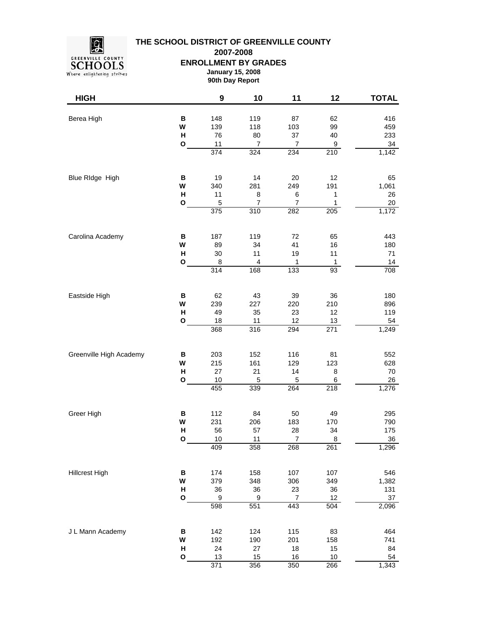

**THE SCHOOL DISTRICT OF GREENVILLE COUNTY**

**2007-2008**

**ENROLLMENT BY GRADES**

**January 15, 2008 90th Day Report**

| <b>HIGH</b>             |                             | $\boldsymbol{9}$                            | 10                            | 11                                          | 12                                        | <b>TOTAL</b>                           |
|-------------------------|-----------------------------|---------------------------------------------|-------------------------------|---------------------------------------------|-------------------------------------------|----------------------------------------|
| Berea High              | B<br>W<br>н<br>O            | 148<br>139<br>76<br>11<br>374               | 119<br>118<br>80<br>7<br>324  | 87<br>103<br>37<br>$\boldsymbol{7}$<br>234  | 62<br>99<br>40<br>9<br>$\overline{210}$   | 416<br>459<br>233<br>34<br>1,142       |
|                         |                             |                                             |                               |                                             |                                           |                                        |
| Blue RIdge High         | В<br>W<br>Н<br>О            | 19<br>340<br>11<br>5<br>375                 | 14<br>281<br>8<br>7<br>310    | 20<br>249<br>6<br>$\overline{7}$<br>282     | 12<br>191<br>1<br>1<br>205                | 65<br>1,061<br>26<br>$20\,$<br>1,172   |
| Carolina Academy        | В<br>W<br>Н<br>O            | 187<br>89<br>30<br>8<br>$\overline{314}$    | 119<br>34<br>11<br>4<br>168   | 72<br>41<br>19<br>$\mathbf{1}$<br>133       | 65<br>16<br>11<br>1<br>93                 | 443<br>180<br>71<br>14<br>708          |
| Eastside High           | B<br>W<br>н<br>O            | 62<br>239<br>49<br>18<br>368                | 43<br>227<br>35<br>11<br>316  | 39<br>220<br>23<br>12<br>294                | 36<br>210<br>12<br>13<br>$\overline{271}$ | 180<br>896<br>119<br>54<br>1,249       |
| Greenville High Academy | B<br>W<br>$\mathsf{H}$<br>O | 203<br>215<br>27<br>$10$<br>455             | 152<br>161<br>21<br>5<br>339  | 116<br>129<br>14<br>$\sqrt{5}$<br>264       | 81<br>123<br>8<br>6<br>218                | 552<br>628<br>70<br>26<br>1,276        |
| Greer High              | B<br>W<br>H<br>O            | 112<br>231<br>56<br>10<br>409               | 84<br>206<br>57<br>11<br>358  | 50<br>183<br>28<br>$\overline{7}$<br>268    | 49<br>170<br>34<br>8<br>261               | 295<br>790<br>175<br>36<br>1,296       |
| <b>Hillcrest High</b>   | В<br>W<br>Н<br>O            | 174<br>379<br>36<br>$\boldsymbol{9}$<br>598 | 158<br>348<br>36<br>9<br>551  | 107<br>306<br>23<br>$\boldsymbol{7}$<br>443 | 107<br>349<br>$36\,$<br>12<br>504         | 546<br>1,382<br>131<br>$37\,$<br>2,096 |
| J L Mann Academy        | B<br>W<br>Н<br>O            | 142<br>192<br>24<br>13<br>371               | 124<br>190<br>27<br>15<br>356 | 115<br>201<br>18<br>16<br>350               | 83<br>158<br>15<br>$10$<br>266            | 464<br>741<br>84<br>54<br>1,343        |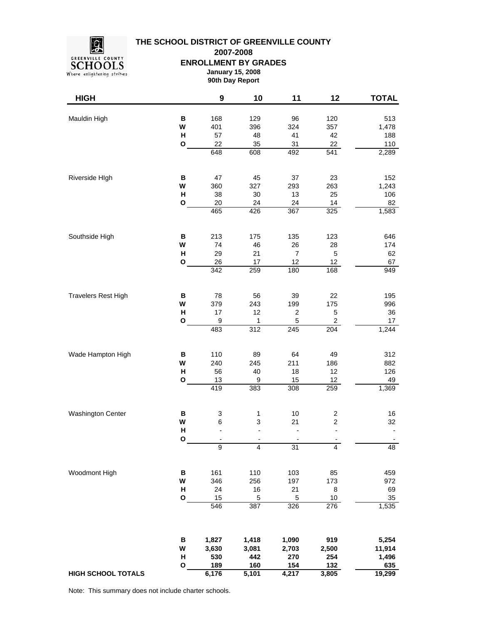

## **THE SCHOOL DISTRICT OF GREENVILLE COUNTY**

**2007-2008**

**ENROLLMENT BY GRADES**

**January 15, 2008 90th Day Report**

| <b>HIGH</b>                |              | $\boldsymbol{9}$       | 10                 | 11                  | 12                       | <b>TOTAL</b>    |
|----------------------------|--------------|------------------------|--------------------|---------------------|--------------------------|-----------------|
| Mauldin High               | в            | 168                    | 129                | 96                  | 120                      | 513             |
|                            | W            | 401                    | 396                | 324                 | 357                      | 1,478           |
|                            | $\mathsf{H}$ | 57                     | 48                 | 41                  | 42                       | 188             |
|                            | O            | 22                     | 35                 | 31                  | 22                       | 110             |
|                            |              | 648                    | 608                | 492                 | $\overline{541}$         | 2,289           |
| Riverside HIgh             | в            | 47                     | 45                 | 37                  | 23                       | 152             |
|                            | W            | 360                    | 327                | 293                 | 263                      | 1,243           |
|                            | Н            | 38                     | 30                 | 13                  | 25                       | 106             |
|                            | O            | 20                     | 24                 | 24                  | 14                       | 82              |
|                            |              | 465                    | 426                | 367                 | 325                      | 1,583           |
| Southside High             | В            | 213                    | 175                | 135                 | 123                      | 646             |
|                            | W            | 74                     | 46                 | 26                  | 28                       | 174             |
|                            | н            | 29                     | 21                 | $\overline{7}$      | $\mathbf 5$              | 62              |
|                            | $\mathbf{o}$ | 26<br>$\overline{342}$ | 17                 | 12<br>180           | 12                       | 67<br>949       |
|                            |              |                        | 259                |                     | 168                      |                 |
| <b>Travelers Rest High</b> | B            | 78                     | 56                 | 39                  | 22                       | 195             |
|                            | W            | 379                    | 243                | 199                 | 175                      | 996             |
|                            | н<br>O       | 17<br>9                | 12                 | $\overline{c}$<br>5 | $\mathbf 5$              | 36              |
|                            |              | 483                    | 1<br>312           | 245                 | 2<br>204                 | 17<br>1,244     |
| Wade Hampton High          |              |                        |                    |                     |                          |                 |
|                            | В<br>W       | 110<br>240             | 89<br>245          | 64<br>211           | 49<br>186                | 312<br>882      |
|                            | н            | 56                     | 40                 | 18                  | 12                       | 126             |
|                            | $\mathbf{o}$ | 13                     | $\boldsymbol{9}$   | 15                  | 12                       | 49              |
|                            |              | 419                    | 383                | $\overline{308}$    | 259                      | 1,369           |
| Washington Center          | В            | 3                      | $\mathbf{1}$       | 10                  | $\overline{\mathbf{c}}$  | 16              |
|                            | W            | 6                      | 3                  | 21                  | $\boldsymbol{2}$         | 32              |
|                            | H            |                        | L,                 |                     |                          |                 |
|                            | O            | 9                      | 4                  | 31                  | $\overline{\mathcal{A}}$ | 48              |
|                            |              |                        |                    |                     |                          |                 |
| Woodmont High              | В            | 161                    | 110                | 103                 | 85                       | 459             |
|                            | W            | 346                    | 256                | 197                 | 173                      | 972             |
|                            | н            | 24                     | 16                 | 21                  | 8                        | 69              |
|                            | $\mathbf{o}$ | 15<br>546              | $\,$ 5 $\,$<br>387 | $\mathbf 5$<br>326  | $10$<br>276              | $35\,$<br>1,535 |
|                            |              |                        |                    |                     |                          |                 |
|                            | В            | 1,827                  | 1,418              | 1,090               | 919                      | 5,254           |
|                            | W            | 3,630                  | 3,081              | 2,703               | 2,500                    | 11,914          |
|                            | Н            | 530                    | 442                | 270                 | 254                      | 1,496           |
| <b>HIGH SCHOOL TOTALS</b>  | $\mathbf{o}$ | 189<br>6,176           | 160<br>5,101       | 154<br>4,217        | 132<br>3,805             | 635<br>19,299   |
|                            |              |                        |                    |                     |                          |                 |

Note: This summary does not include charter schools.